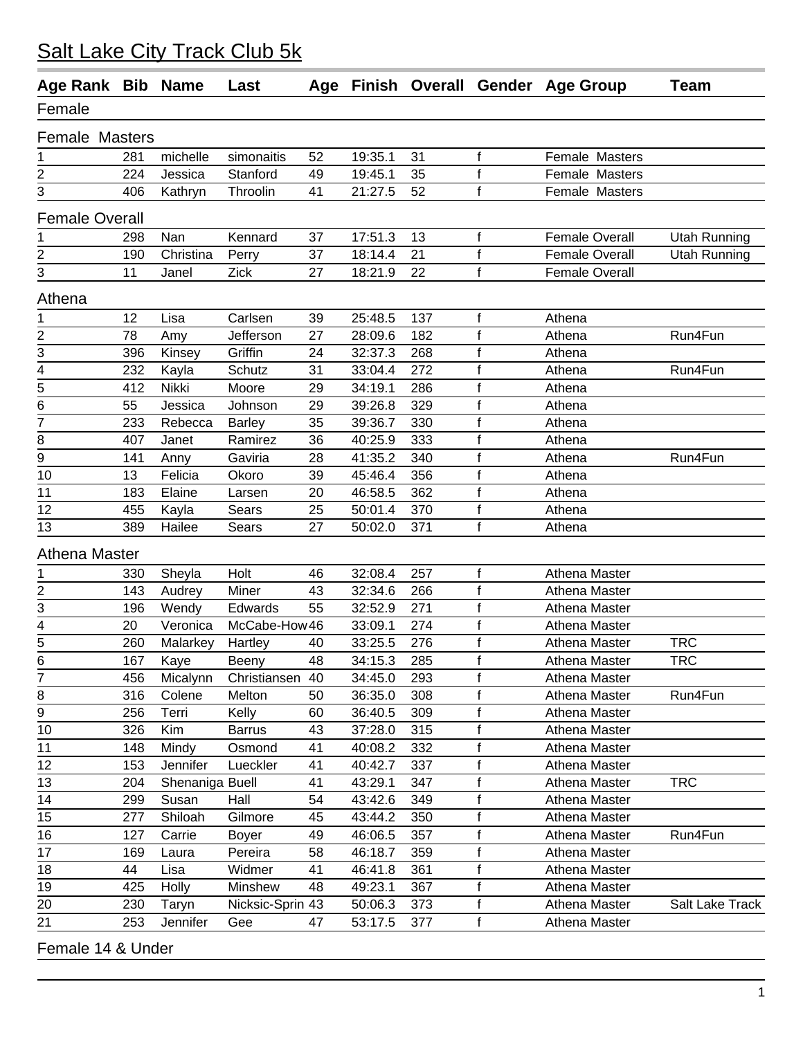| Female<br><b>Female Masters</b><br>michelle<br>52<br>19:35.1<br>31<br>f<br>Female Masters<br>281<br>simonaitis<br>1<br>2<br>$\mathsf f$<br>19:45.1<br>Female Masters<br>224<br>Jessica<br>Stanford<br>49<br>35<br>$\mathsf f$<br>3<br>21:27.5<br>52<br>Female Masters<br>406<br>Kathryn<br>Throolin<br>41<br><b>Female Overall</b><br>Kennard<br>37<br>17:51.3<br>$\mathbf f$<br><b>Female Overall</b><br>298<br>Nan<br>13<br><b>Utah Running</b><br>1<br>2<br>$\mathsf f$<br>18:14.4<br>21<br><b>Female Overall</b><br>37<br>190<br>Christina<br><b>Utah Running</b><br>Perry<br>3<br>f<br>11<br>Zick<br>18:21.9<br>22<br><b>Female Overall</b><br>27<br>Janel<br>Athena<br>12<br>Lisa<br>25:48.5<br>137<br>f<br>1<br>Carlsen<br>39<br>Athena<br>$\overline{2}$<br>$\overline{f}$<br>78<br>Jefferson<br>27<br>Run4Fun<br>28:09.6<br>182<br>Athena<br>Amy<br>$\overline{3}$<br>$\mathsf f$<br>396<br>Griffin<br>24<br>32:37.3<br>268<br>Kinsey<br>Athena<br>$\overline{4}$<br>f<br>232<br>Schutz<br>33:04.4<br>272<br>Athena<br>Run4Fun<br>31<br>Kayla<br>5<br>$\mathsf f$<br>412<br>Nikki<br>34:19.1<br>Moore<br>29<br>286<br>Athena<br>$\overline{6}$<br>$\mathsf f$<br>55<br>29<br>39:26.8<br>Jessica<br>329<br>Johnson<br>Athena<br>$\overline{7}$<br>$\mathsf f$<br>233<br>35<br>39:36.7<br>330<br>Rebecca<br><b>Barley</b><br>Athena<br>f<br>8<br>40:25.9<br>333<br>407<br>Janet<br>Ramirez<br>36<br>Athena<br>$\overline{9}$<br>$\mathsf f$<br>Gaviria<br>41:35.2<br>141<br>28<br>340<br>Athena<br>Run4Fun<br>Anny<br>$\mathsf f$<br>45:46.4<br>10<br>13<br>Felicia<br>356<br>Okoro<br>39<br>Athena<br>$\mathsf f$<br>Elaine<br>46:58.5<br>362<br>11<br>183<br>20<br>Athena<br>Larsen<br>$\mathsf f$<br>12<br>455<br>25<br>50:01.4<br>370<br>Kayla<br>Sears<br>Athena<br>$\mathbf f$<br>389<br>50:02.0<br>13<br>Hailee<br>27<br>371<br>Athena<br>Sears<br><b>Athena Master</b><br>Holt<br>$\mathsf f$<br>Athena Master<br>32:08.4<br>257<br>1<br>330<br>Sheyla<br>46<br>2<br>143<br>Miner<br>43<br>32:34.6<br>f<br>266<br>Athena Master<br>Audrey<br>$\mathsf f$<br>3<br>55<br>32:52.9<br>196<br>Edwards<br>271<br>Athena Master<br>Wendy<br>4<br>$\mathsf f$<br>33:09.1<br>20<br>McCabe-How 46<br>274<br>Athena Master<br>Veronica<br>$\overline{5}$<br>$\mathsf f$<br><b>TRC</b><br>260<br>33:25.5<br>276<br>Athena Master<br>Malarkey<br>Hartley<br>40<br>6<br>167<br>Kaye<br>Beeny<br>48<br>34:15.3<br>285<br>Athena Master<br>TRC<br>Ť<br>$\overline{7}$<br>$\mathsf f$<br>40<br>34:45.0<br>293<br>456<br>Micalynn<br>Christiansen<br>Athena Master<br>$\mathsf f$<br>8<br>Run4Fun<br>316<br>50<br>36:35.0<br>Colene<br>Melton<br>308<br>Athena Master<br>$\overline{9}$<br>$\mathsf f$<br>256<br>Terri<br>Kelly<br>60<br>36:40.5<br>Athena Master<br>309<br>$\mathsf f$<br>Kim<br>10<br>326<br><b>Barrus</b><br>43<br>37:28.0<br>315<br>Athena Master<br>148<br>41<br>40:08.2<br>f<br>Athena Master<br>11<br>Mindy<br>Osmond<br>332<br>$\mathsf f$<br>12<br>153<br>Jennifer<br>Lueckler<br>41<br>40:42.7<br>Athena Master<br>337<br>$\mathsf f$<br>13<br><b>TRC</b><br>Shenaniga Buell<br>41<br>43:29.1<br>347<br>Athena Master<br>204<br>$\mathsf f$<br>14<br>Hall<br>54<br>43:42.6<br>Athena Master<br>299<br>Susan<br>349<br>15<br>f<br>Shiloah<br>Gilmore<br>45<br>43:44.2<br>350<br>Athena Master<br>277<br>16<br>f<br>Run4Fun<br>127<br>49<br>46:06.5<br>Carrie<br>357<br>Athena Master<br><b>Boyer</b><br>f<br>17<br>58<br>169<br>46:18.7<br>Athena Master<br>Pereira<br>359<br>Laura<br>$\mathsf f$<br>18<br>44<br>41<br>46:41.8<br>361<br>Athena Master<br>Lisa<br>Widmer<br>f<br>Minshew<br>49:23.1<br>19<br>425<br>Holly<br>48<br>367<br>Athena Master<br>$\mathsf f$<br>20<br>Salt Lake Track<br>230<br>Taryn<br>Nicksic-Sprin 43<br>50:06.3<br>373<br>Athena Master<br>$\mathsf f$<br>253<br>21<br>Jennifer<br>47<br>53:17.5<br>Athena Master<br>Gee<br>377 | Age Rank Bib Name |  | Last |  |  | Age Finish Overall Gender Age Group | <b>Team</b> |
|---------------------------------------------------------------------------------------------------------------------------------------------------------------------------------------------------------------------------------------------------------------------------------------------------------------------------------------------------------------------------------------------------------------------------------------------------------------------------------------------------------------------------------------------------------------------------------------------------------------------------------------------------------------------------------------------------------------------------------------------------------------------------------------------------------------------------------------------------------------------------------------------------------------------------------------------------------------------------------------------------------------------------------------------------------------------------------------------------------------------------------------------------------------------------------------------------------------------------------------------------------------------------------------------------------------------------------------------------------------------------------------------------------------------------------------------------------------------------------------------------------------------------------------------------------------------------------------------------------------------------------------------------------------------------------------------------------------------------------------------------------------------------------------------------------------------------------------------------------------------------------------------------------------------------------------------------------------------------------------------------------------------------------------------------------------------------------------------------------------------------------------------------------------------------------------------------------------------------------------------------------------------------------------------------------------------------------------------------------------------------------------------------------------------------------------------------------------------------------------------------------------------------------------------------------------------------------------------------------------------------------------------------------------------------------------------------------------------------------------------------------------------------------------------------------------------------------------------------------------------------------------------------------------------------------------------------------------------------------------------------------------------------------------------------------------------------------------------------------------------------------------------------------------------------------------------------------------------------------------------------------------------------------------------------------------------------------------------------------------------------------------------------------------------------------------------------------------------------------------------------------------------------------------------------------------------------------------------------------------------------------------------------------------------------------------------------------------------------------------------------------------------------------------------------------------------------------------------------------------------------------------|-------------------|--|------|--|--|-------------------------------------|-------------|
|                                                                                                                                                                                                                                                                                                                                                                                                                                                                                                                                                                                                                                                                                                                                                                                                                                                                                                                                                                                                                                                                                                                                                                                                                                                                                                                                                                                                                                                                                                                                                                                                                                                                                                                                                                                                                                                                                                                                                                                                                                                                                                                                                                                                                                                                                                                                                                                                                                                                                                                                                                                                                                                                                                                                                                                                                                                                                                                                                                                                                                                                                                                                                                                                                                                                                                                                                                                                                                                                                                                                                                                                                                                                                                                                                                                                                                                                                       |                   |  |      |  |  |                                     |             |
|                                                                                                                                                                                                                                                                                                                                                                                                                                                                                                                                                                                                                                                                                                                                                                                                                                                                                                                                                                                                                                                                                                                                                                                                                                                                                                                                                                                                                                                                                                                                                                                                                                                                                                                                                                                                                                                                                                                                                                                                                                                                                                                                                                                                                                                                                                                                                                                                                                                                                                                                                                                                                                                                                                                                                                                                                                                                                                                                                                                                                                                                                                                                                                                                                                                                                                                                                                                                                                                                                                                                                                                                                                                                                                                                                                                                                                                                                       |                   |  |      |  |  |                                     |             |
|                                                                                                                                                                                                                                                                                                                                                                                                                                                                                                                                                                                                                                                                                                                                                                                                                                                                                                                                                                                                                                                                                                                                                                                                                                                                                                                                                                                                                                                                                                                                                                                                                                                                                                                                                                                                                                                                                                                                                                                                                                                                                                                                                                                                                                                                                                                                                                                                                                                                                                                                                                                                                                                                                                                                                                                                                                                                                                                                                                                                                                                                                                                                                                                                                                                                                                                                                                                                                                                                                                                                                                                                                                                                                                                                                                                                                                                                                       |                   |  |      |  |  |                                     |             |
|                                                                                                                                                                                                                                                                                                                                                                                                                                                                                                                                                                                                                                                                                                                                                                                                                                                                                                                                                                                                                                                                                                                                                                                                                                                                                                                                                                                                                                                                                                                                                                                                                                                                                                                                                                                                                                                                                                                                                                                                                                                                                                                                                                                                                                                                                                                                                                                                                                                                                                                                                                                                                                                                                                                                                                                                                                                                                                                                                                                                                                                                                                                                                                                                                                                                                                                                                                                                                                                                                                                                                                                                                                                                                                                                                                                                                                                                                       |                   |  |      |  |  |                                     |             |
|                                                                                                                                                                                                                                                                                                                                                                                                                                                                                                                                                                                                                                                                                                                                                                                                                                                                                                                                                                                                                                                                                                                                                                                                                                                                                                                                                                                                                                                                                                                                                                                                                                                                                                                                                                                                                                                                                                                                                                                                                                                                                                                                                                                                                                                                                                                                                                                                                                                                                                                                                                                                                                                                                                                                                                                                                                                                                                                                                                                                                                                                                                                                                                                                                                                                                                                                                                                                                                                                                                                                                                                                                                                                                                                                                                                                                                                                                       |                   |  |      |  |  |                                     |             |
|                                                                                                                                                                                                                                                                                                                                                                                                                                                                                                                                                                                                                                                                                                                                                                                                                                                                                                                                                                                                                                                                                                                                                                                                                                                                                                                                                                                                                                                                                                                                                                                                                                                                                                                                                                                                                                                                                                                                                                                                                                                                                                                                                                                                                                                                                                                                                                                                                                                                                                                                                                                                                                                                                                                                                                                                                                                                                                                                                                                                                                                                                                                                                                                                                                                                                                                                                                                                                                                                                                                                                                                                                                                                                                                                                                                                                                                                                       |                   |  |      |  |  |                                     |             |
|                                                                                                                                                                                                                                                                                                                                                                                                                                                                                                                                                                                                                                                                                                                                                                                                                                                                                                                                                                                                                                                                                                                                                                                                                                                                                                                                                                                                                                                                                                                                                                                                                                                                                                                                                                                                                                                                                                                                                                                                                                                                                                                                                                                                                                                                                                                                                                                                                                                                                                                                                                                                                                                                                                                                                                                                                                                                                                                                                                                                                                                                                                                                                                                                                                                                                                                                                                                                                                                                                                                                                                                                                                                                                                                                                                                                                                                                                       |                   |  |      |  |  |                                     |             |
|                                                                                                                                                                                                                                                                                                                                                                                                                                                                                                                                                                                                                                                                                                                                                                                                                                                                                                                                                                                                                                                                                                                                                                                                                                                                                                                                                                                                                                                                                                                                                                                                                                                                                                                                                                                                                                                                                                                                                                                                                                                                                                                                                                                                                                                                                                                                                                                                                                                                                                                                                                                                                                                                                                                                                                                                                                                                                                                                                                                                                                                                                                                                                                                                                                                                                                                                                                                                                                                                                                                                                                                                                                                                                                                                                                                                                                                                                       |                   |  |      |  |  |                                     |             |
|                                                                                                                                                                                                                                                                                                                                                                                                                                                                                                                                                                                                                                                                                                                                                                                                                                                                                                                                                                                                                                                                                                                                                                                                                                                                                                                                                                                                                                                                                                                                                                                                                                                                                                                                                                                                                                                                                                                                                                                                                                                                                                                                                                                                                                                                                                                                                                                                                                                                                                                                                                                                                                                                                                                                                                                                                                                                                                                                                                                                                                                                                                                                                                                                                                                                                                                                                                                                                                                                                                                                                                                                                                                                                                                                                                                                                                                                                       |                   |  |      |  |  |                                     |             |
|                                                                                                                                                                                                                                                                                                                                                                                                                                                                                                                                                                                                                                                                                                                                                                                                                                                                                                                                                                                                                                                                                                                                                                                                                                                                                                                                                                                                                                                                                                                                                                                                                                                                                                                                                                                                                                                                                                                                                                                                                                                                                                                                                                                                                                                                                                                                                                                                                                                                                                                                                                                                                                                                                                                                                                                                                                                                                                                                                                                                                                                                                                                                                                                                                                                                                                                                                                                                                                                                                                                                                                                                                                                                                                                                                                                                                                                                                       |                   |  |      |  |  |                                     |             |
|                                                                                                                                                                                                                                                                                                                                                                                                                                                                                                                                                                                                                                                                                                                                                                                                                                                                                                                                                                                                                                                                                                                                                                                                                                                                                                                                                                                                                                                                                                                                                                                                                                                                                                                                                                                                                                                                                                                                                                                                                                                                                                                                                                                                                                                                                                                                                                                                                                                                                                                                                                                                                                                                                                                                                                                                                                                                                                                                                                                                                                                                                                                                                                                                                                                                                                                                                                                                                                                                                                                                                                                                                                                                                                                                                                                                                                                                                       |                   |  |      |  |  |                                     |             |
|                                                                                                                                                                                                                                                                                                                                                                                                                                                                                                                                                                                                                                                                                                                                                                                                                                                                                                                                                                                                                                                                                                                                                                                                                                                                                                                                                                                                                                                                                                                                                                                                                                                                                                                                                                                                                                                                                                                                                                                                                                                                                                                                                                                                                                                                                                                                                                                                                                                                                                                                                                                                                                                                                                                                                                                                                                                                                                                                                                                                                                                                                                                                                                                                                                                                                                                                                                                                                                                                                                                                                                                                                                                                                                                                                                                                                                                                                       |                   |  |      |  |  |                                     |             |
|                                                                                                                                                                                                                                                                                                                                                                                                                                                                                                                                                                                                                                                                                                                                                                                                                                                                                                                                                                                                                                                                                                                                                                                                                                                                                                                                                                                                                                                                                                                                                                                                                                                                                                                                                                                                                                                                                                                                                                                                                                                                                                                                                                                                                                                                                                                                                                                                                                                                                                                                                                                                                                                                                                                                                                                                                                                                                                                                                                                                                                                                                                                                                                                                                                                                                                                                                                                                                                                                                                                                                                                                                                                                                                                                                                                                                                                                                       |                   |  |      |  |  |                                     |             |
|                                                                                                                                                                                                                                                                                                                                                                                                                                                                                                                                                                                                                                                                                                                                                                                                                                                                                                                                                                                                                                                                                                                                                                                                                                                                                                                                                                                                                                                                                                                                                                                                                                                                                                                                                                                                                                                                                                                                                                                                                                                                                                                                                                                                                                                                                                                                                                                                                                                                                                                                                                                                                                                                                                                                                                                                                                                                                                                                                                                                                                                                                                                                                                                                                                                                                                                                                                                                                                                                                                                                                                                                                                                                                                                                                                                                                                                                                       |                   |  |      |  |  |                                     |             |
|                                                                                                                                                                                                                                                                                                                                                                                                                                                                                                                                                                                                                                                                                                                                                                                                                                                                                                                                                                                                                                                                                                                                                                                                                                                                                                                                                                                                                                                                                                                                                                                                                                                                                                                                                                                                                                                                                                                                                                                                                                                                                                                                                                                                                                                                                                                                                                                                                                                                                                                                                                                                                                                                                                                                                                                                                                                                                                                                                                                                                                                                                                                                                                                                                                                                                                                                                                                                                                                                                                                                                                                                                                                                                                                                                                                                                                                                                       |                   |  |      |  |  |                                     |             |
|                                                                                                                                                                                                                                                                                                                                                                                                                                                                                                                                                                                                                                                                                                                                                                                                                                                                                                                                                                                                                                                                                                                                                                                                                                                                                                                                                                                                                                                                                                                                                                                                                                                                                                                                                                                                                                                                                                                                                                                                                                                                                                                                                                                                                                                                                                                                                                                                                                                                                                                                                                                                                                                                                                                                                                                                                                                                                                                                                                                                                                                                                                                                                                                                                                                                                                                                                                                                                                                                                                                                                                                                                                                                                                                                                                                                                                                                                       |                   |  |      |  |  |                                     |             |
|                                                                                                                                                                                                                                                                                                                                                                                                                                                                                                                                                                                                                                                                                                                                                                                                                                                                                                                                                                                                                                                                                                                                                                                                                                                                                                                                                                                                                                                                                                                                                                                                                                                                                                                                                                                                                                                                                                                                                                                                                                                                                                                                                                                                                                                                                                                                                                                                                                                                                                                                                                                                                                                                                                                                                                                                                                                                                                                                                                                                                                                                                                                                                                                                                                                                                                                                                                                                                                                                                                                                                                                                                                                                                                                                                                                                                                                                                       |                   |  |      |  |  |                                     |             |
|                                                                                                                                                                                                                                                                                                                                                                                                                                                                                                                                                                                                                                                                                                                                                                                                                                                                                                                                                                                                                                                                                                                                                                                                                                                                                                                                                                                                                                                                                                                                                                                                                                                                                                                                                                                                                                                                                                                                                                                                                                                                                                                                                                                                                                                                                                                                                                                                                                                                                                                                                                                                                                                                                                                                                                                                                                                                                                                                                                                                                                                                                                                                                                                                                                                                                                                                                                                                                                                                                                                                                                                                                                                                                                                                                                                                                                                                                       |                   |  |      |  |  |                                     |             |
|                                                                                                                                                                                                                                                                                                                                                                                                                                                                                                                                                                                                                                                                                                                                                                                                                                                                                                                                                                                                                                                                                                                                                                                                                                                                                                                                                                                                                                                                                                                                                                                                                                                                                                                                                                                                                                                                                                                                                                                                                                                                                                                                                                                                                                                                                                                                                                                                                                                                                                                                                                                                                                                                                                                                                                                                                                                                                                                                                                                                                                                                                                                                                                                                                                                                                                                                                                                                                                                                                                                                                                                                                                                                                                                                                                                                                                                                                       |                   |  |      |  |  |                                     |             |
|                                                                                                                                                                                                                                                                                                                                                                                                                                                                                                                                                                                                                                                                                                                                                                                                                                                                                                                                                                                                                                                                                                                                                                                                                                                                                                                                                                                                                                                                                                                                                                                                                                                                                                                                                                                                                                                                                                                                                                                                                                                                                                                                                                                                                                                                                                                                                                                                                                                                                                                                                                                                                                                                                                                                                                                                                                                                                                                                                                                                                                                                                                                                                                                                                                                                                                                                                                                                                                                                                                                                                                                                                                                                                                                                                                                                                                                                                       |                   |  |      |  |  |                                     |             |
|                                                                                                                                                                                                                                                                                                                                                                                                                                                                                                                                                                                                                                                                                                                                                                                                                                                                                                                                                                                                                                                                                                                                                                                                                                                                                                                                                                                                                                                                                                                                                                                                                                                                                                                                                                                                                                                                                                                                                                                                                                                                                                                                                                                                                                                                                                                                                                                                                                                                                                                                                                                                                                                                                                                                                                                                                                                                                                                                                                                                                                                                                                                                                                                                                                                                                                                                                                                                                                                                                                                                                                                                                                                                                                                                                                                                                                                                                       |                   |  |      |  |  |                                     |             |
|                                                                                                                                                                                                                                                                                                                                                                                                                                                                                                                                                                                                                                                                                                                                                                                                                                                                                                                                                                                                                                                                                                                                                                                                                                                                                                                                                                                                                                                                                                                                                                                                                                                                                                                                                                                                                                                                                                                                                                                                                                                                                                                                                                                                                                                                                                                                                                                                                                                                                                                                                                                                                                                                                                                                                                                                                                                                                                                                                                                                                                                                                                                                                                                                                                                                                                                                                                                                                                                                                                                                                                                                                                                                                                                                                                                                                                                                                       |                   |  |      |  |  |                                     |             |
|                                                                                                                                                                                                                                                                                                                                                                                                                                                                                                                                                                                                                                                                                                                                                                                                                                                                                                                                                                                                                                                                                                                                                                                                                                                                                                                                                                                                                                                                                                                                                                                                                                                                                                                                                                                                                                                                                                                                                                                                                                                                                                                                                                                                                                                                                                                                                                                                                                                                                                                                                                                                                                                                                                                                                                                                                                                                                                                                                                                                                                                                                                                                                                                                                                                                                                                                                                                                                                                                                                                                                                                                                                                                                                                                                                                                                                                                                       |                   |  |      |  |  |                                     |             |
|                                                                                                                                                                                                                                                                                                                                                                                                                                                                                                                                                                                                                                                                                                                                                                                                                                                                                                                                                                                                                                                                                                                                                                                                                                                                                                                                                                                                                                                                                                                                                                                                                                                                                                                                                                                                                                                                                                                                                                                                                                                                                                                                                                                                                                                                                                                                                                                                                                                                                                                                                                                                                                                                                                                                                                                                                                                                                                                                                                                                                                                                                                                                                                                                                                                                                                                                                                                                                                                                                                                                                                                                                                                                                                                                                                                                                                                                                       |                   |  |      |  |  |                                     |             |
|                                                                                                                                                                                                                                                                                                                                                                                                                                                                                                                                                                                                                                                                                                                                                                                                                                                                                                                                                                                                                                                                                                                                                                                                                                                                                                                                                                                                                                                                                                                                                                                                                                                                                                                                                                                                                                                                                                                                                                                                                                                                                                                                                                                                                                                                                                                                                                                                                                                                                                                                                                                                                                                                                                                                                                                                                                                                                                                                                                                                                                                                                                                                                                                                                                                                                                                                                                                                                                                                                                                                                                                                                                                                                                                                                                                                                                                                                       |                   |  |      |  |  |                                     |             |
|                                                                                                                                                                                                                                                                                                                                                                                                                                                                                                                                                                                                                                                                                                                                                                                                                                                                                                                                                                                                                                                                                                                                                                                                                                                                                                                                                                                                                                                                                                                                                                                                                                                                                                                                                                                                                                                                                                                                                                                                                                                                                                                                                                                                                                                                                                                                                                                                                                                                                                                                                                                                                                                                                                                                                                                                                                                                                                                                                                                                                                                                                                                                                                                                                                                                                                                                                                                                                                                                                                                                                                                                                                                                                                                                                                                                                                                                                       |                   |  |      |  |  |                                     |             |
|                                                                                                                                                                                                                                                                                                                                                                                                                                                                                                                                                                                                                                                                                                                                                                                                                                                                                                                                                                                                                                                                                                                                                                                                                                                                                                                                                                                                                                                                                                                                                                                                                                                                                                                                                                                                                                                                                                                                                                                                                                                                                                                                                                                                                                                                                                                                                                                                                                                                                                                                                                                                                                                                                                                                                                                                                                                                                                                                                                                                                                                                                                                                                                                                                                                                                                                                                                                                                                                                                                                                                                                                                                                                                                                                                                                                                                                                                       |                   |  |      |  |  |                                     |             |
|                                                                                                                                                                                                                                                                                                                                                                                                                                                                                                                                                                                                                                                                                                                                                                                                                                                                                                                                                                                                                                                                                                                                                                                                                                                                                                                                                                                                                                                                                                                                                                                                                                                                                                                                                                                                                                                                                                                                                                                                                                                                                                                                                                                                                                                                                                                                                                                                                                                                                                                                                                                                                                                                                                                                                                                                                                                                                                                                                                                                                                                                                                                                                                                                                                                                                                                                                                                                                                                                                                                                                                                                                                                                                                                                                                                                                                                                                       |                   |  |      |  |  |                                     |             |
|                                                                                                                                                                                                                                                                                                                                                                                                                                                                                                                                                                                                                                                                                                                                                                                                                                                                                                                                                                                                                                                                                                                                                                                                                                                                                                                                                                                                                                                                                                                                                                                                                                                                                                                                                                                                                                                                                                                                                                                                                                                                                                                                                                                                                                                                                                                                                                                                                                                                                                                                                                                                                                                                                                                                                                                                                                                                                                                                                                                                                                                                                                                                                                                                                                                                                                                                                                                                                                                                                                                                                                                                                                                                                                                                                                                                                                                                                       |                   |  |      |  |  |                                     |             |
|                                                                                                                                                                                                                                                                                                                                                                                                                                                                                                                                                                                                                                                                                                                                                                                                                                                                                                                                                                                                                                                                                                                                                                                                                                                                                                                                                                                                                                                                                                                                                                                                                                                                                                                                                                                                                                                                                                                                                                                                                                                                                                                                                                                                                                                                                                                                                                                                                                                                                                                                                                                                                                                                                                                                                                                                                                                                                                                                                                                                                                                                                                                                                                                                                                                                                                                                                                                                                                                                                                                                                                                                                                                                                                                                                                                                                                                                                       |                   |  |      |  |  |                                     |             |
|                                                                                                                                                                                                                                                                                                                                                                                                                                                                                                                                                                                                                                                                                                                                                                                                                                                                                                                                                                                                                                                                                                                                                                                                                                                                                                                                                                                                                                                                                                                                                                                                                                                                                                                                                                                                                                                                                                                                                                                                                                                                                                                                                                                                                                                                                                                                                                                                                                                                                                                                                                                                                                                                                                                                                                                                                                                                                                                                                                                                                                                                                                                                                                                                                                                                                                                                                                                                                                                                                                                                                                                                                                                                                                                                                                                                                                                                                       |                   |  |      |  |  |                                     |             |
|                                                                                                                                                                                                                                                                                                                                                                                                                                                                                                                                                                                                                                                                                                                                                                                                                                                                                                                                                                                                                                                                                                                                                                                                                                                                                                                                                                                                                                                                                                                                                                                                                                                                                                                                                                                                                                                                                                                                                                                                                                                                                                                                                                                                                                                                                                                                                                                                                                                                                                                                                                                                                                                                                                                                                                                                                                                                                                                                                                                                                                                                                                                                                                                                                                                                                                                                                                                                                                                                                                                                                                                                                                                                                                                                                                                                                                                                                       |                   |  |      |  |  |                                     |             |
|                                                                                                                                                                                                                                                                                                                                                                                                                                                                                                                                                                                                                                                                                                                                                                                                                                                                                                                                                                                                                                                                                                                                                                                                                                                                                                                                                                                                                                                                                                                                                                                                                                                                                                                                                                                                                                                                                                                                                                                                                                                                                                                                                                                                                                                                                                                                                                                                                                                                                                                                                                                                                                                                                                                                                                                                                                                                                                                                                                                                                                                                                                                                                                                                                                                                                                                                                                                                                                                                                                                                                                                                                                                                                                                                                                                                                                                                                       |                   |  |      |  |  |                                     |             |
|                                                                                                                                                                                                                                                                                                                                                                                                                                                                                                                                                                                                                                                                                                                                                                                                                                                                                                                                                                                                                                                                                                                                                                                                                                                                                                                                                                                                                                                                                                                                                                                                                                                                                                                                                                                                                                                                                                                                                                                                                                                                                                                                                                                                                                                                                                                                                                                                                                                                                                                                                                                                                                                                                                                                                                                                                                                                                                                                                                                                                                                                                                                                                                                                                                                                                                                                                                                                                                                                                                                                                                                                                                                                                                                                                                                                                                                                                       |                   |  |      |  |  |                                     |             |
|                                                                                                                                                                                                                                                                                                                                                                                                                                                                                                                                                                                                                                                                                                                                                                                                                                                                                                                                                                                                                                                                                                                                                                                                                                                                                                                                                                                                                                                                                                                                                                                                                                                                                                                                                                                                                                                                                                                                                                                                                                                                                                                                                                                                                                                                                                                                                                                                                                                                                                                                                                                                                                                                                                                                                                                                                                                                                                                                                                                                                                                                                                                                                                                                                                                                                                                                                                                                                                                                                                                                                                                                                                                                                                                                                                                                                                                                                       |                   |  |      |  |  |                                     |             |
|                                                                                                                                                                                                                                                                                                                                                                                                                                                                                                                                                                                                                                                                                                                                                                                                                                                                                                                                                                                                                                                                                                                                                                                                                                                                                                                                                                                                                                                                                                                                                                                                                                                                                                                                                                                                                                                                                                                                                                                                                                                                                                                                                                                                                                                                                                                                                                                                                                                                                                                                                                                                                                                                                                                                                                                                                                                                                                                                                                                                                                                                                                                                                                                                                                                                                                                                                                                                                                                                                                                                                                                                                                                                                                                                                                                                                                                                                       |                   |  |      |  |  |                                     |             |
|                                                                                                                                                                                                                                                                                                                                                                                                                                                                                                                                                                                                                                                                                                                                                                                                                                                                                                                                                                                                                                                                                                                                                                                                                                                                                                                                                                                                                                                                                                                                                                                                                                                                                                                                                                                                                                                                                                                                                                                                                                                                                                                                                                                                                                                                                                                                                                                                                                                                                                                                                                                                                                                                                                                                                                                                                                                                                                                                                                                                                                                                                                                                                                                                                                                                                                                                                                                                                                                                                                                                                                                                                                                                                                                                                                                                                                                                                       |                   |  |      |  |  |                                     |             |
|                                                                                                                                                                                                                                                                                                                                                                                                                                                                                                                                                                                                                                                                                                                                                                                                                                                                                                                                                                                                                                                                                                                                                                                                                                                                                                                                                                                                                                                                                                                                                                                                                                                                                                                                                                                                                                                                                                                                                                                                                                                                                                                                                                                                                                                                                                                                                                                                                                                                                                                                                                                                                                                                                                                                                                                                                                                                                                                                                                                                                                                                                                                                                                                                                                                                                                                                                                                                                                                                                                                                                                                                                                                                                                                                                                                                                                                                                       |                   |  |      |  |  |                                     |             |
|                                                                                                                                                                                                                                                                                                                                                                                                                                                                                                                                                                                                                                                                                                                                                                                                                                                                                                                                                                                                                                                                                                                                                                                                                                                                                                                                                                                                                                                                                                                                                                                                                                                                                                                                                                                                                                                                                                                                                                                                                                                                                                                                                                                                                                                                                                                                                                                                                                                                                                                                                                                                                                                                                                                                                                                                                                                                                                                                                                                                                                                                                                                                                                                                                                                                                                                                                                                                                                                                                                                                                                                                                                                                                                                                                                                                                                                                                       |                   |  |      |  |  |                                     |             |
|                                                                                                                                                                                                                                                                                                                                                                                                                                                                                                                                                                                                                                                                                                                                                                                                                                                                                                                                                                                                                                                                                                                                                                                                                                                                                                                                                                                                                                                                                                                                                                                                                                                                                                                                                                                                                                                                                                                                                                                                                                                                                                                                                                                                                                                                                                                                                                                                                                                                                                                                                                                                                                                                                                                                                                                                                                                                                                                                                                                                                                                                                                                                                                                                                                                                                                                                                                                                                                                                                                                                                                                                                                                                                                                                                                                                                                                                                       |                   |  |      |  |  |                                     |             |
|                                                                                                                                                                                                                                                                                                                                                                                                                                                                                                                                                                                                                                                                                                                                                                                                                                                                                                                                                                                                                                                                                                                                                                                                                                                                                                                                                                                                                                                                                                                                                                                                                                                                                                                                                                                                                                                                                                                                                                                                                                                                                                                                                                                                                                                                                                                                                                                                                                                                                                                                                                                                                                                                                                                                                                                                                                                                                                                                                                                                                                                                                                                                                                                                                                                                                                                                                                                                                                                                                                                                                                                                                                                                                                                                                                                                                                                                                       |                   |  |      |  |  |                                     |             |
|                                                                                                                                                                                                                                                                                                                                                                                                                                                                                                                                                                                                                                                                                                                                                                                                                                                                                                                                                                                                                                                                                                                                                                                                                                                                                                                                                                                                                                                                                                                                                                                                                                                                                                                                                                                                                                                                                                                                                                                                                                                                                                                                                                                                                                                                                                                                                                                                                                                                                                                                                                                                                                                                                                                                                                                                                                                                                                                                                                                                                                                                                                                                                                                                                                                                                                                                                                                                                                                                                                                                                                                                                                                                                                                                                                                                                                                                                       |                   |  |      |  |  |                                     |             |
|                                                                                                                                                                                                                                                                                                                                                                                                                                                                                                                                                                                                                                                                                                                                                                                                                                                                                                                                                                                                                                                                                                                                                                                                                                                                                                                                                                                                                                                                                                                                                                                                                                                                                                                                                                                                                                                                                                                                                                                                                                                                                                                                                                                                                                                                                                                                                                                                                                                                                                                                                                                                                                                                                                                                                                                                                                                                                                                                                                                                                                                                                                                                                                                                                                                                                                                                                                                                                                                                                                                                                                                                                                                                                                                                                                                                                                                                                       |                   |  |      |  |  |                                     |             |
|                                                                                                                                                                                                                                                                                                                                                                                                                                                                                                                                                                                                                                                                                                                                                                                                                                                                                                                                                                                                                                                                                                                                                                                                                                                                                                                                                                                                                                                                                                                                                                                                                                                                                                                                                                                                                                                                                                                                                                                                                                                                                                                                                                                                                                                                                                                                                                                                                                                                                                                                                                                                                                                                                                                                                                                                                                                                                                                                                                                                                                                                                                                                                                                                                                                                                                                                                                                                                                                                                                                                                                                                                                                                                                                                                                                                                                                                                       |                   |  |      |  |  |                                     |             |
|                                                                                                                                                                                                                                                                                                                                                                                                                                                                                                                                                                                                                                                                                                                                                                                                                                                                                                                                                                                                                                                                                                                                                                                                                                                                                                                                                                                                                                                                                                                                                                                                                                                                                                                                                                                                                                                                                                                                                                                                                                                                                                                                                                                                                                                                                                                                                                                                                                                                                                                                                                                                                                                                                                                                                                                                                                                                                                                                                                                                                                                                                                                                                                                                                                                                                                                                                                                                                                                                                                                                                                                                                                                                                                                                                                                                                                                                                       |                   |  |      |  |  |                                     |             |

Female 14 & Under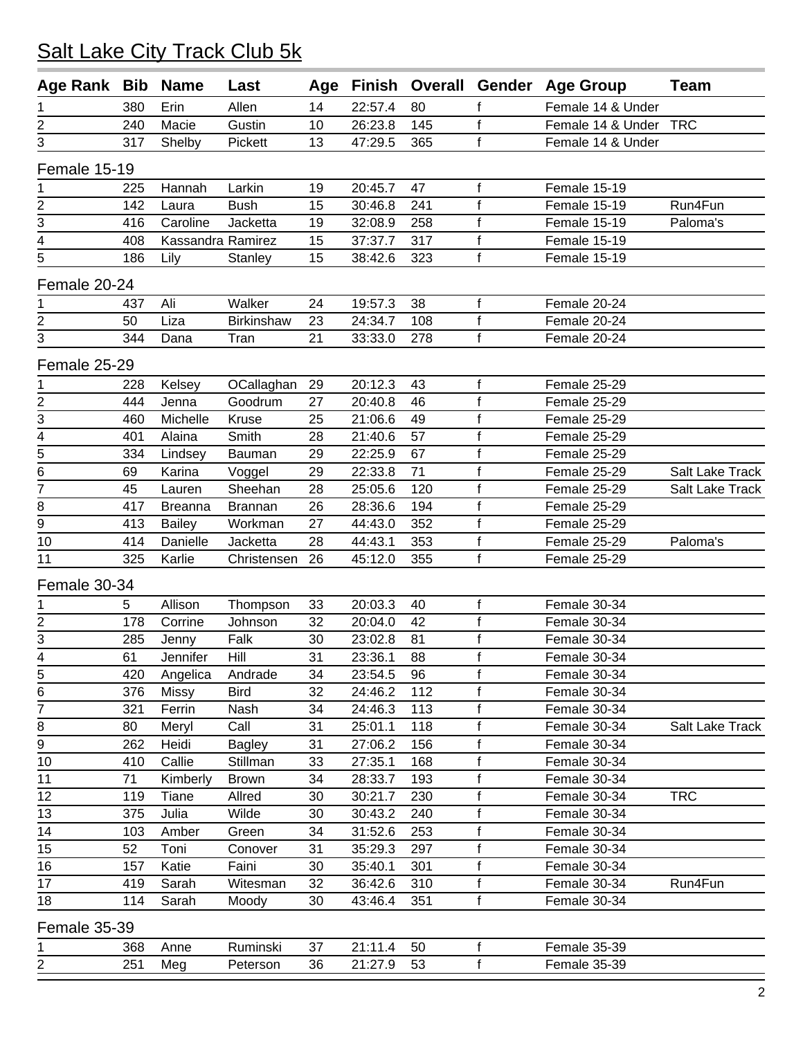#### 380 Erin Allen 14 22:57.4 80 f Female 14 & Under 240 Macie Gustin 10 26:23.8 145 f Female 14 & Under TRC 317 Shelby Pickett 13 47:29.5 365 f Female 14 & Under Female 15-19 225 Hannah Larkin 19 20:45.7 47 f Female 15-19 142 Laura Bush 15 30:46.8 241 f Female 15-19 Run4Fun 416 Caroline Jacketta 19 32:08.9 258 f Female 15-19 Paloma's 408 Kassandra Ramirez 15 37:37.7 317 f Female 15-19 186 Lily Stanley 15 38:42.6 323 f Female 15-19 Female 20-24 437 Ali Walker 24 19:57.3 38 f Female 20-24 50 Liza Birkinshaw 23 24:34.7 108 f Female 20-24 344 Dana Tran 21 33:33.0 278 f Female 20-24 Female 25-29 228 Kelsey OCallaghan 29 20:12.3 43 f Female 25-29 444 Jenna Goodrum 27 20:40.8 46 f Female 25-29 460 Michelle Kruse 25 21:06.6 49 f Female 25-29 401 Alaina Smith 28 21:40.6 57 f Female 25-29 334 Lindsey Bauman 29 22:25.9 67 f Female 25-29 69 Karina Voggel 29 22:33.8 71 f Female 25-29 Salt Lake Track 45 Lauren Sheehan 28 25:05.6 120 f Female 25-29 Salt Lake Track 417 Breanna Brannan 26 28:36.6 194 f Female 25-29 413 Bailey Workman 27 44:43.0 352 f Female 25-29 414 Danielle Jacketta 28 44:43.1 353 f Female 25-29 Paloma's 325 Karlie Christensen 26 45:12.0 355 f Female 25-29 Female 30-34 5 Allison Thompson 33 20:03.3 40 f Female 30-34 178 Corrine Johnson 32 20:04.0 42 f Female 30-34 285 Jenny Falk 30 23:02.8 81 f Female 30-34 61 Jennifer Hill 31 23:36.1 88 f Female 30-34 420 Angelica Andrade 34 23:54.5 96 f Female 30-34 376 Missy Bird 32 24:46.2 112 f Female 30-34 321 Ferrin Nash 34 24:46.3 113 f Female 30-34 8 80 Meryl Call 31 25:01.1 118 f Female 30-34 Salt Lake Track 262 Heidi Bagley 31 27:06.2 156 f Female 30-34 410 Callie Stillman 33 27:35.1 168 f Female 30-34 71 Kimberly Brown 34 28:33.7 193 f Female 30-34 12 119 Tiane Allred 30 30:21.7 230 f Female 30-34 TRC 375 Julia Wilde 30 30:43.2 240 f Female 30-34 103 Amber Green 34 31:52.6 253 f Female 30-34 52 Toni Conover 31 35:29.3 297 f Female 30-34 157 Katie Faini 30 35:40.1 301 f Female 30-34 419 Sarah Witesman 32 36:42.6 310 f Female 30-34 Run4Fun 18 114 Sarah Moody 30 43:46.4 351 f Female 30-34 Female 35-39 1 368 Anne Ruminski 37 21:11.4 50 f Female 35-39 2 251 Meg Peterson 36 21:27.9 53 f Female 35-39 **Age Rank Bib Name Last Age Finish Overall Gender Age Group Team**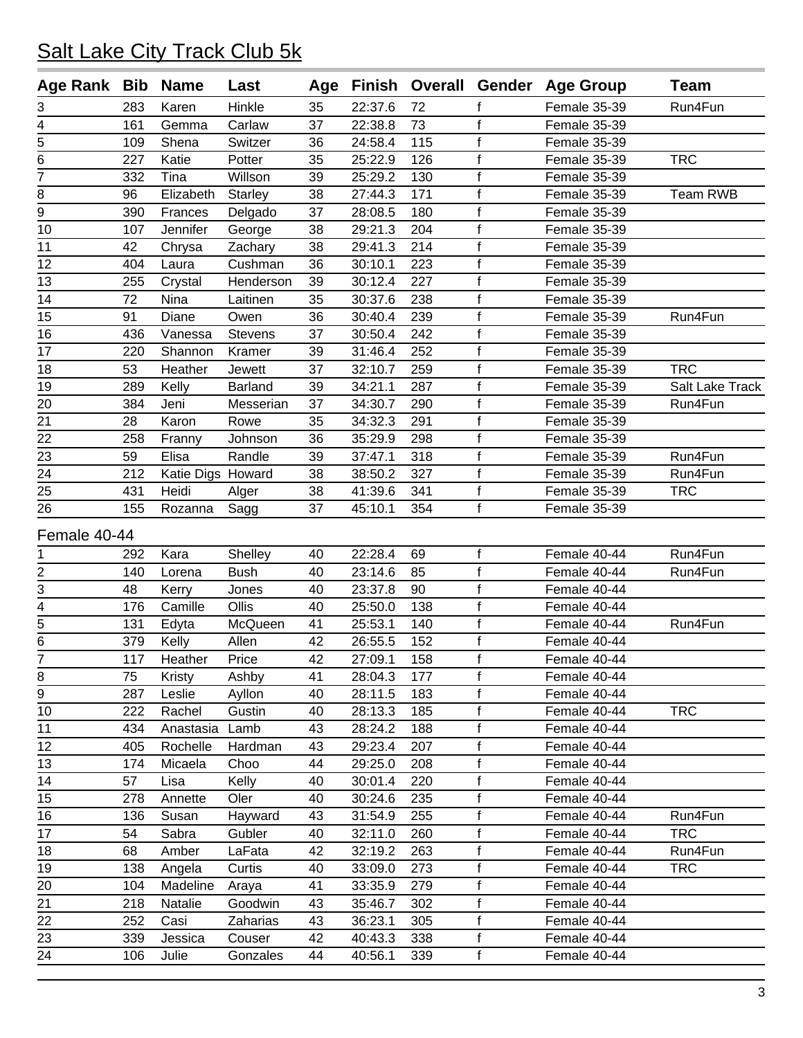| Age Rank Bib    |     | <b>Name</b>       | Last           | Age |         |     |              | Finish Overall Gender Age Group | <b>Team</b>     |
|-----------------|-----|-------------------|----------------|-----|---------|-----|--------------|---------------------------------|-----------------|
| 3               | 283 | Karen             | Hinkle         | 35  | 22:37.6 | 72  |              | Female 35-39                    | Run4Fun         |
| 4               | 161 | Gemma             | Carlaw         | 37  | 22:38.8 | 73  | f            | Female 35-39                    |                 |
| 5               | 109 | Shena             | Switzer        | 36  | 24:58.4 | 115 | $\mathbf{f}$ | Female 35-39                    |                 |
| 6               | 227 | Katie             | Potter         | 35  | 25:22.9 | 126 | $\mathsf f$  | Female 35-39                    | <b>TRC</b>      |
| 7               | 332 | Tina              | Willson        | 39  | 25:29.2 | 130 | $\mathsf f$  | Female 35-39                    |                 |
| 8               | 96  | Elizabeth         | <b>Starley</b> | 38  | 27:44.3 | 171 | f            | Female 35-39                    | <b>Team RWB</b> |
| 9               | 390 | Frances           | Delgado        | 37  | 28:08.5 | 180 | $\mathsf f$  | Female 35-39                    |                 |
| 10              | 107 | Jennifer          | George         | 38  | 29:21.3 | 204 | $\mathsf f$  | Female 35-39                    |                 |
| 11              | 42  | Chrysa            | Zachary        | 38  | 29:41.3 | 214 | $\mathsf f$  | Female 35-39                    |                 |
| 12              | 404 | Laura             | Cushman        | 36  | 30:10.1 | 223 | f            | Female 35-39                    |                 |
| 13              | 255 | Crystal           | Henderson      | 39  | 30:12.4 | 227 | f            | Female 35-39                    |                 |
| 14              | 72  | Nina              | Laitinen       | 35  | 30:37.6 | 238 | $\mathsf f$  | Female 35-39                    |                 |
| 15              | 91  | Diane             | Owen           | 36  | 30:40.4 | 239 | $\mathsf f$  | Female 35-39                    | Run4Fun         |
| 16              | 436 | Vanessa           | <b>Stevens</b> | 37  | 30:50.4 | 242 | $\mathsf f$  | Female 35-39                    |                 |
| 17              | 220 | Shannon           | Kramer         | 39  | 31:46.4 | 252 | f            | Female 35-39                    |                 |
| 18              | 53  | Heather           | Jewett         | 37  | 32:10.7 | 259 | $\mathsf f$  | Female 35-39                    | <b>TRC</b>      |
| 19              | 289 | Kelly             | <b>Barland</b> | 39  | 34:21.1 | 287 | $\mathsf{f}$ | Female 35-39                    | Salt Lake Track |
| $\overline{20}$ | 384 | Jeni              | Messerian      | 37  | 34:30.7 | 290 | $\mathsf{f}$ | Female 35-39                    | Run4Fun         |
| 21              | 28  | Karon             | Rowe           | 35  | 34:32.3 | 291 | $\mathsf f$  | Female 35-39                    |                 |
| 22              | 258 | Franny            | Johnson        | 36  | 35:29.9 | 298 | f            | Female 35-39                    |                 |
| 23              | 59  | Elisa             | Randle         | 39  | 37:47.1 | 318 | $\mathsf f$  | Female 35-39                    | Run4Fun         |
| 24              | 212 | Katie Digs Howard |                | 38  | 38:50.2 | 327 | $\mathsf{f}$ | Female 35-39                    | Run4Fun         |
| 25              | 431 | Heidi             | Alger          | 38  | 41:39.6 | 341 | $\mathsf f$  | Female 35-39                    | <b>TRC</b>      |
| 26              | 155 | Rozanna           | Sagg           | 37  | 45:10.1 | 354 | f            | Female 35-39                    |                 |
| Female 40-44    |     |                   |                |     |         |     |              |                                 |                 |
| 1               | 292 | Kara              | Shelley        | 40  | 22:28.4 | 69  | f            | Female 40-44                    | Run4Fun         |
| 2               | 140 | Lorena            | <b>Bush</b>    | 40  | 23:14.6 | 85  | f            | Female 40-44                    | Run4Fun         |
| 3               | 48  | Kerry             | Jones          | 40  | 23:37.8 | 90  | $\mathsf f$  | Female 40-44                    |                 |
| 4               | 176 | Camille           | Ollis          | 40  | 25:50.0 | 138 | $\mathsf f$  | Female 40-44                    |                 |
| $\overline{5}$  | 131 | Edyta             | McQueen        | 41  | 25:53.1 | 140 | $\mathsf{f}$ | Female 40-44                    | Run4Fun         |
| $\overline{6}$  | 379 | Kelly             | Allen          | 42  | 26:55.5 | 152 | $\mathsf f$  | Female 40-44                    |                 |
| 7               |     | Heather           | Price          | 42  | 27:09.1 | 158 | f            | Female 40-44                    |                 |
|                 | 117 |                   |                |     |         |     | f            |                                 |                 |
| 8<br>9          | 75  | Kristy            | Ashby          | 41  | 28:04.3 | 177 | $\mathsf f$  | Female 40-44<br>Female 40-44    |                 |
|                 | 287 | Leslie            | Ayllon         | 40  | 28:11.5 | 183 |              |                                 |                 |
| 10              | 222 | Rachel            | Gustin         | 40  | 28:13.3 | 185 | $\mathsf f$  | Female 40-44                    | <b>TRC</b>      |
| 11              | 434 | Anastasia         | Lamb           | 43  | 28:24.2 | 188 | f            | Female 40-44                    |                 |
| 12              | 405 | Rochelle          | Hardman        | 43  | 29:23.4 | 207 | f            | Female 40-44                    |                 |
| 13              | 174 | Micaela           | Choo           | 44  | 29:25.0 | 208 | $\mathsf f$  | Female 40-44                    |                 |
| $\overline{14}$ | 57  | Lisa              | Kelly          | 40  | 30:01.4 | 220 | $\mathsf f$  | Female 40-44                    |                 |
| 15              | 278 | Annette           | Oler           | 40  | 30:24.6 | 235 | f            | Female 40-44                    |                 |
| 16              | 136 | Susan             | Hayward        | 43  | 31:54.9 | 255 | f            | Female 40-44                    | Run4Fun         |
| 17              | 54  | Sabra             | Gubler         | 40  | 32:11.0 | 260 | $\mathsf f$  | Female 40-44                    | <b>TRC</b>      |
| 18              | 68  | Amber             | LaFata         | 42  | 32:19.2 | 263 | $\mathsf f$  | Female 40-44                    | Run4Fun         |
| 19              | 138 | Angela            | Curtis         | 40  | 33:09.0 | 273 | $\mathsf f$  | Female 40-44                    | <b>TRC</b>      |
| 20              | 104 | Madeline          | Araya          | 41  | 33:35.9 | 279 | f            | Female 40-44                    |                 |
| 21              | 218 | Natalie           | Goodwin        | 43  | 35:46.7 | 302 | f            | Female 40-44                    |                 |
| 22              | 252 | Casi              | Zaharias       | 43  | 36:23.1 | 305 | f            | Female 40-44                    |                 |
| 23              | 339 | Jessica           | Couser         | 42  | 40:43.3 | 338 | f            | Female 40-44                    |                 |
| $\frac{24}{1}$  | 106 | Julie             | Gonzales       | 44  | 40:56.1 | 339 | f            | Female 40-44                    |                 |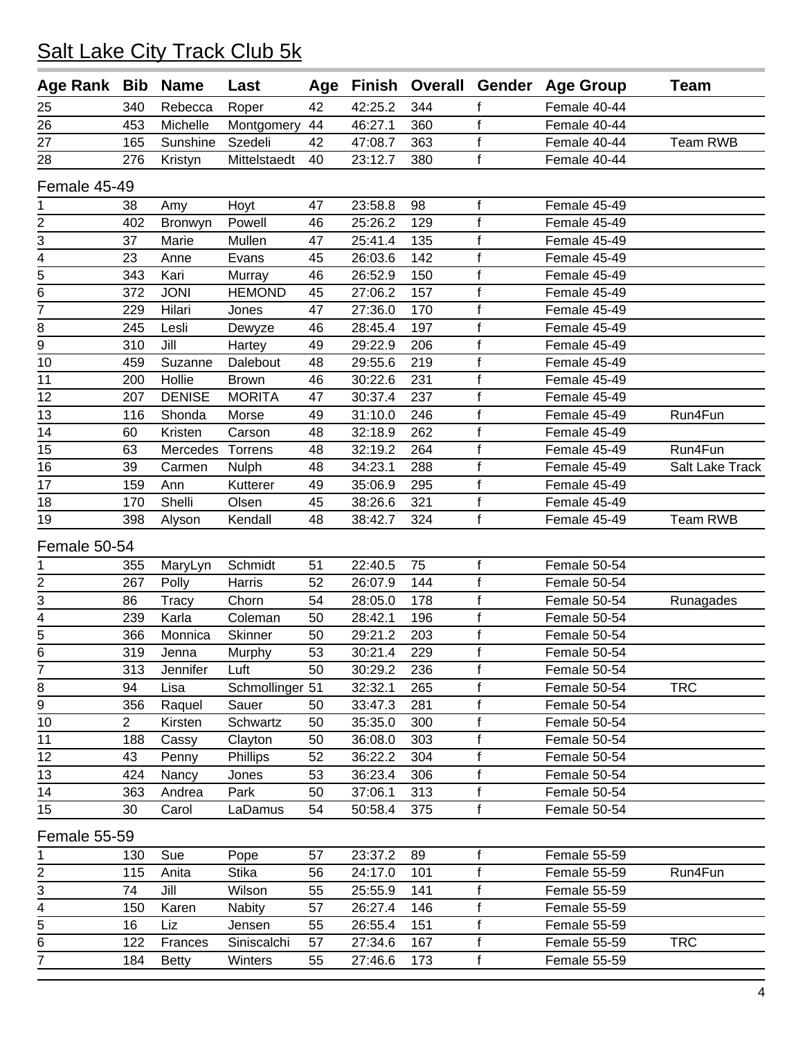#### 340 Rebecca Roper 42 42:25.2 344 f Female 40-44 453 Michelle Montgomery 44 46:27.1 360 f Female 40-44 165 Sunshine Szedeli 42 47:08.7 363 f Female 40-44 Team RWB 276 Kristyn Mittelstaedt 40 23:12.7 380 f Female 40-44 Female 45-49 38 Amy Hoyt 47 23:58.8 98 f Female 45-49 402 Bronwyn Powell 46 25:26.2 129 f Female 45-49 37 Marie Mullen 47 25:41.4 135 f Female 45-49 23 Anne Evans 45 26:03.6 142 f Female 45-49 343 Kari Murray 46 26:52.9 150 f Female 45-49 372 JONI HEMOND 45 27:06.2 157 f Female 45-49 229 Hilari Jones 47 27:36.0 170 f Female 45-49 245 Lesli Dewyze 46 28:45.4 197 f Female 45-49 310 Jill Hartey 49 29:22.9 206 f Female 45-49 459 Suzanne Dalebout 48 29:55.6 219 f Female 45-49 200 Hollie Brown 46 30:22.6 231 f Female 45-49 12 207 DENISE MORITA 47 30:37.4 237 f Female 45-49 116 Shonda Morse 49 31:10.0 246 f Female 45-49 Run4Fun 60 Kristen Carson 48 32:18.9 262 f Female 45-49 63 Mercedes Torrens 48 32:19.2 264 f Female 45-49 Run4Fun 39 Carmen Nulph 48 34:23.1 288 f Female 45-49 Salt Lake Track 159 Ann Kutterer 49 35:06.9 295 f Female 45-49 170 Shelli Olsen 45 38:26.6 321 f Female 45-49 398 Alyson Kendall 48 38:42.7 324 f Female 45-49 Team RWB Female 50-54 355 MaryLyn Schmidt 51 22:40.5 75 f Female 50-54 267 Polly Harris 52 26:07.9 144 f Female 50-54 86 Tracy Chorn 54 28:05.0 178 f Female 50-54 Runagades 239 Karla Coleman 50 28:42.1 196 f Female 50-54 366 Monnica Skinner 50 29:21.2 203 f Female 50-54 319 Jenna Murphy 53 30:21.4 229 f Female 50-54 313 Jennifer Luft 50 30:29.2 236 f Female 50-54 8 94 Lisa Schmollinger 51 32:32.1 265 f Female 50-54 TRC 356 Raquel Sauer 50 33:47.3 281 f Female 50-54 2 Kirsten Schwartz 50 35:35.0 300 f Female 50-54 188 Cassy Clayton 50 36:08.0 303 f Female 50-54 43 Penny Phillips 52 36:22.2 304 f Female 50-54 424 Nancy Jones 53 36:23.4 306 f Female 50-54 363 Andrea Park 50 37:06.1 313 f Female 50-54 30 Carol LaDamus 54 50:58.4 375 f Female 50-54 Female 55-59 130 Sue Pope 57 23:37.2 89 f Female 55-59 2 115 Anita Stika 56 24:17.0 101 f Female 55-59 Run4Fun<br>3 74 Jill Wilson 55 25:55.9 141 f Female 55-59 74 Jill Wilson 55 25:55.9 141 f Female 55-59 150 Karen Nabity 57 26:27.4 146 f Female 55-59 5 16 Liz Jensen 55 26:55.4 151 f Female 55-59 122 Frances Siniscalchi 57 27:34.6 167 f Female 55-59 TRC 184 Betty Winters 55 27:46.6 173 f Female 55-59 **Age Rank Bib Name Last Age Finish Overall Gender Age Group Team**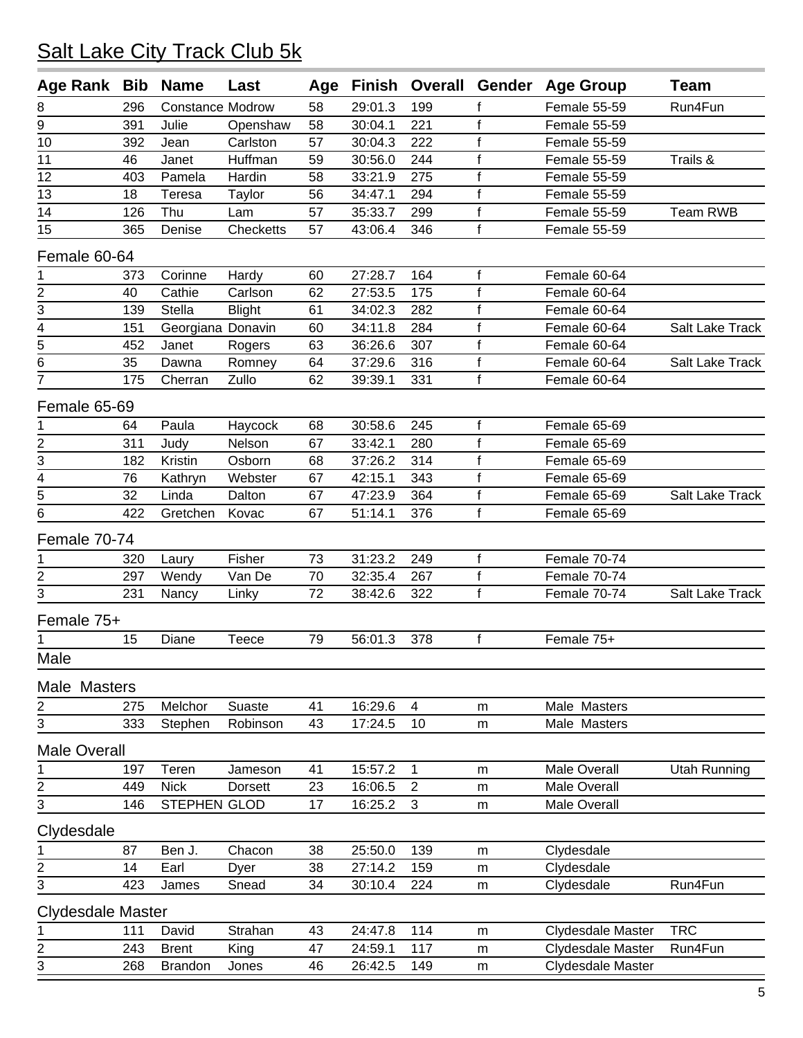| <b>Age Rank</b>          | Bib | <b>Name</b>             | Last          | Age |         | <b>Finish Overall</b> | Gender         | <b>Age Group</b>    | Team                |
|--------------------------|-----|-------------------------|---------------|-----|---------|-----------------------|----------------|---------------------|---------------------|
| 8                        | 296 | <b>Constance Modrow</b> |               | 58  | 29:01.3 | 199                   | f              | Female 55-59        | Run4Fun             |
| 9                        | 391 | Julie                   | Openshaw      | 58  | 30:04.1 | 221                   | $\mathsf f$    | Female 55-59        |                     |
| 10                       | 392 | Jean                    | Carlston      | 57  | 30:04.3 | 222                   | $\mathsf f$    | Female 55-59        |                     |
| 11                       | 46  | Janet                   | Huffman       | 59  | 30:56.0 | 244                   | $\mathsf{f}$   | Female 55-59        | Trails &            |
| 12                       | 403 | Pamela                  | Hardin        | 58  | 33:21.9 | 275                   | $\mathsf f$    | Female 55-59        |                     |
| 13                       | 18  | Teresa                  | Taylor        | 56  | 34:47.1 | 294                   | f              | Female 55-59        |                     |
| 14                       | 126 | Thu                     | Lam           | 57  | 35:33.7 | 299                   | $\mathsf f$    | Female 55-59        | Team RWB            |
| 15                       | 365 | Denise                  | Checketts     | 57  | 43:06.4 | 346                   | $\mathsf{f}$   | Female 55-59        |                     |
| Female 60-64             |     |                         |               |     |         |                       |                |                     |                     |
| 1                        | 373 | Corinne                 | Hardy         | 60  | 27:28.7 | 164                   | f              | Female 60-64        |                     |
| $\overline{\mathbf{c}}$  | 40  | Cathie                  | Carlson       | 62  | 27:53.5 | 175                   | $\mathsf f$    | Female 60-64        |                     |
| 3                        | 139 | Stella                  | <b>Blight</b> | 61  | 34:02.3 | 282                   | $\mathsf f$    | Female 60-64        |                     |
| 4                        | 151 | Georgiana Donavin       |               | 60  | 34:11.8 | 284                   | f              | Female 60-64        | Salt Lake Track     |
| 5                        | 452 | Janet                   | Rogers        | 63  | 36:26.6 | 307                   | $\mathsf{f}$   | Female 60-64        |                     |
| 6                        | 35  | Dawna                   | Romney        | 64  | 37:29.6 | 316                   | $\mathsf f$    | Female 60-64        | Salt Lake Track     |
| 7                        | 175 | Cherran                 | Zullo         | 62  | 39:39.1 | 331                   | $\mathsf{f}$   | Female 60-64        |                     |
| Female 65-69             |     |                         |               |     |         |                       |                |                     |                     |
| 1                        | 64  | Paula                   | Haycock       | 68  | 30:58.6 | 245                   | $\mathsf{f}$   | Female 65-69        |                     |
|                          | 311 | Judy                    | Nelson        | 67  | 33:42.1 | 280                   | $\mathsf f$    | Female 65-69        |                     |
| $\overline{2}$<br>3      | 182 | Kristin                 | Osborn        | 68  | 37:26.2 | 314                   | f              | Female 65-69        |                     |
| $\overline{4}$           | 76  | Kathryn                 | Webster       | 67  | 42:15.1 | 343                   | $\mathsf f$    | Female 65-69        |                     |
| 5                        | 32  | Linda                   | Dalton        | 67  | 47:23.9 | 364                   | $\mathsf f$    | Female 65-69        | Salt Lake Track     |
| 6                        | 422 | Gretchen                | Kovac         | 67  | 51:14.1 | 376                   | $\mathsf{f}$   | Female 65-69        |                     |
|                          |     |                         |               |     |         |                       |                |                     |                     |
| Female 70-74             |     |                         |               |     |         |                       |                |                     |                     |
| 1                        | 320 | Laury                   | Fisher        | 73  | 31:23.2 | 249                   | $\mathsf f$    | Female 70-74        |                     |
| $\overline{2}$           | 297 | Wendy                   | Van De        | 70  | 32:35.4 | 267                   | $\overline{f}$ | Female 70-74        |                     |
| 3                        | 231 | Nancy                   | Linky         | 72  | 38:42.6 | 322                   | $\mathsf f$    | Female 70-74        | Salt Lake Track     |
| Female 75+               |     |                         |               |     |         |                       |                |                     |                     |
|                          | 15  | Diane                   | Teece         | 79  | 56:01.3 | 378                   | $\mathsf f$    | Female 75+          |                     |
| Male                     |     |                         |               |     |         |                       |                |                     |                     |
| Male Masters             |     |                         |               |     |         |                       |                |                     |                     |
| $\overline{\mathbf{c}}$  | 275 | Melchor                 | Suaste        | 41  | 16:29.6 | $\overline{4}$        | ${\sf m}$      | Male Masters        |                     |
| 3                        | 333 | Stephen                 | Robinson      | 43  | 17:24.5 | 10                    | m              | Male Masters        |                     |
| <b>Male Overall</b>      |     |                         |               |     |         |                       |                |                     |                     |
| 1                        | 197 | Teren                   | Jameson       | 41  | 15:57.2 | $\mathbf 1$           | m              | Male Overall        | <b>Utah Running</b> |
|                          | 449 | <b>Nick</b>             | Dorsett       | 23  | 16:06.5 | $\overline{c}$        | m              | <b>Male Overall</b> |                     |
| $\frac{2}{3}$            | 146 | STEPHEN GLOD            |               | 17  | 16:25.2 | 3                     | m              | Male Overall        |                     |
| Clydesdale               |     |                         |               |     |         |                       |                |                     |                     |
| 1                        | 87  | Ben J.                  | Chacon        | 38  | 25:50.0 | 139                   | m              | Clydesdale          |                     |
|                          | 14  | Earl                    | Dyer          | 38  | 27:14.2 | 159                   | m              | Clydesdale          |                     |
| $\frac{2}{3}$            | 423 | James                   | Snead         | 34  | 30:10.4 | 224                   | m              | Clydesdale          | Run4Fun             |
|                          |     |                         |               |     |         |                       |                |                     |                     |
| <b>Clydesdale Master</b> |     |                         |               |     |         |                       |                |                     |                     |
| 1                        | 111 | David                   | Strahan       | 43  | 24:47.8 | 114                   | m              | Clydesdale Master   | <b>TRC</b>          |
| $\frac{2}{3}$            | 243 | <b>Brent</b>            | King          | 47  | 24:59.1 | 117                   | m              | Clydesdale Master   | Run4Fun             |
|                          | 268 | <b>Brandon</b>          | Jones         | 46  | 26:42.5 | 149                   | ${\sf m}$      | Clydesdale Master   |                     |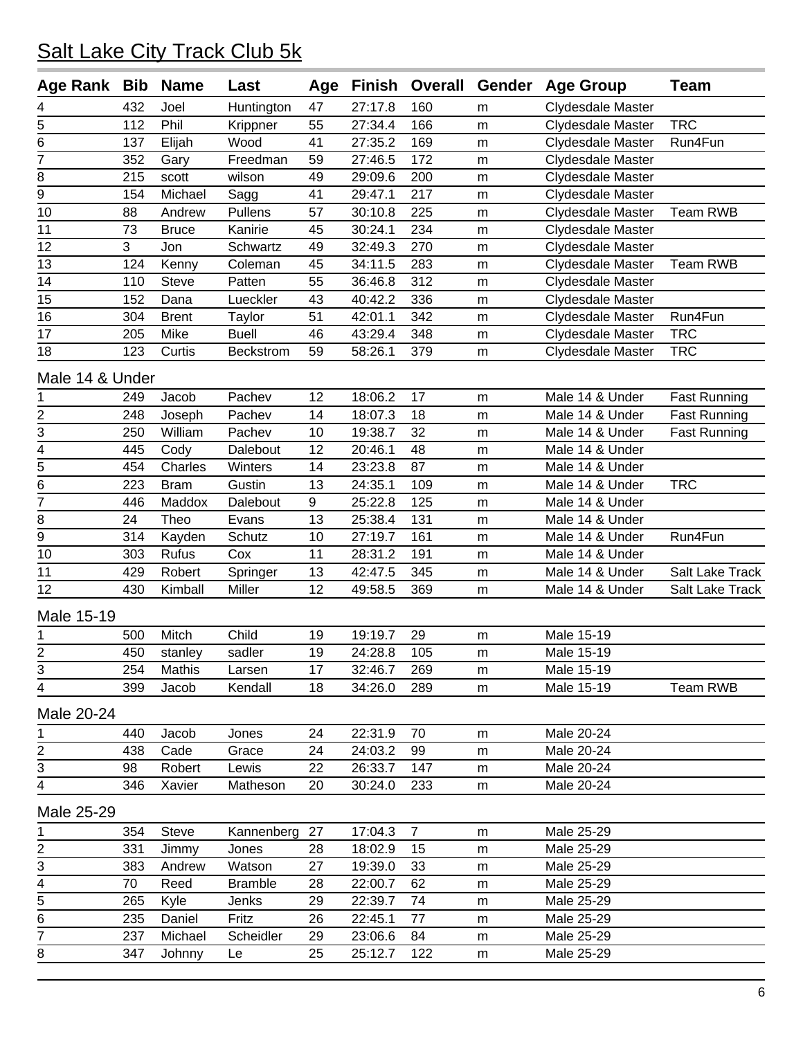| <b>Age Rank</b>             | <b>Bib</b> | <b>Name</b>  | Last           | Age | Finish  | <b>Overall</b> | Gender | <b>Age Group</b>         | <b>Team</b>         |
|-----------------------------|------------|--------------|----------------|-----|---------|----------------|--------|--------------------------|---------------------|
| 4                           | 432        | Joel         | Huntington     | 47  | 27:17.8 | 160            | m      | <b>Clydesdale Master</b> |                     |
| 5                           | 112        | Phil         | Krippner       | 55  | 27:34.4 | 166            | m      | Clydesdale Master        | <b>TRC</b>          |
| 6                           | 137        | Elijah       | Wood           | 41  | 27:35.2 | 169            | m      | Clydesdale Master        | Run4Fun             |
| 7                           | 352        | Gary         | Freedman       | 59  | 27:46.5 | 172            | m      | Clydesdale Master        |                     |
| 8                           | 215        | scott        | wilson         | 49  | 29:09.6 | 200            | m      | Clydesdale Master        |                     |
| 9                           | 154        | Michael      | Sagg           | 41  | 29:47.1 | 217            | m      | Clydesdale Master        |                     |
| 10                          | 88         | Andrew       | Pullens        | 57  | 30:10.8 | 225            | m      | Clydesdale Master        | <b>Team RWB</b>     |
| 11                          | 73         | <b>Bruce</b> | Kanirie        | 45  | 30:24.1 | 234            | m      | Clydesdale Master        |                     |
| 12                          | 3          | Jon          | Schwartz       | 49  | 32:49.3 | 270            | m      | Clydesdale Master        |                     |
| 13                          | 124        | Kenny        | Coleman        | 45  | 34:11.5 | 283            | m      | Clydesdale Master        | <b>Team RWB</b>     |
| 14                          | 110        | <b>Steve</b> | Patten         | 55  | 36:46.8 | 312            | m      | Clydesdale Master        |                     |
| 15                          | 152        | Dana         | Lueckler       | 43  | 40:42.2 | 336            | m      | Clydesdale Master        |                     |
| 16                          | 304        | <b>Brent</b> | Taylor         | 51  | 42:01.1 | 342            | m      | Clydesdale Master        | Run4Fun             |
| 17                          | 205        | Mike         | <b>Buell</b>   | 46  | 43:29.4 | 348            | m      | <b>Clydesdale Master</b> | <b>TRC</b>          |
| 18                          | 123        | Curtis       | Beckstrom      | 59  | 58:26.1 | 379            | m      | <b>Clydesdale Master</b> | <b>TRC</b>          |
| Male 14 & Under             |            |              |                |     |         |                |        |                          |                     |
| 1                           | 249        | Jacob        | Pachev         | 12  | 18:06.2 | 17             | m      | Male 14 & Under          | <b>Fast Running</b> |
| 2                           | 248        | Joseph       | Pachev         | 14  | 18:07.3 | 18             | m      | Male 14 & Under          | <b>Fast Running</b> |
| 3                           | 250        | William      | Pachev         | 10  | 19:38.7 | 32             | m      | Male 14 & Under          | <b>Fast Running</b> |
| 4                           | 445        | Cody         | Dalebout       | 12  | 20:46.1 | 48             | m      | Male 14 & Under          |                     |
| $\overline{5}$              | 454        | Charles      | Winters        | 14  | 23:23.8 | 87             | m      | Male 14 & Under          |                     |
| $\frac{1}{6}$               | 223        | <b>Bram</b>  | Gustin         | 13  | 24:35.1 | 109            | m      | Male 14 & Under          | <b>TRC</b>          |
| $\overline{7}$              | 446        | Maddox       | Dalebout       | 9   | 25:22.8 | 125            | m      | Male 14 & Under          |                     |
| 8                           | 24         | Theo         | Evans          | 13  | 25:38.4 | 131            | m      | Male 14 & Under          |                     |
| 9                           | 314        | Kayden       | Schutz         | 10  | 27:19.7 | 161            | m      | Male 14 & Under          | Run4Fun             |
| 10                          | 303        | Rufus        | Cox            | 11  | 28:31.2 | 191            | m      | Male 14 & Under          |                     |
| 11                          | 429        | Robert       | Springer       | 13  | 42:47.5 | 345            | m      | Male 14 & Under          | Salt Lake Track     |
| 12                          | 430        | Kimball      | Miller         | 12  | 49:58.5 | 369            | m      | Male 14 & Under          | Salt Lake Track     |
| Male 15-19                  |            |              |                |     |         |                |        |                          |                     |
| 1                           | 500        | Mitch        | Child          | 19  | 19:19.7 | 29             | m      | Male 15-19               |                     |
| $\overline{2}$              | 450        | stanley      | sadler         | 19  | 24:28.8 | 105            | m      | Male 15-19               |                     |
| 3                           | 254        | Mathis       | Larsen         | 17  | 32:46.7 | 269            | m      | Male 15-19               |                     |
| $\overline{4}$              | 399        | Jacob        | Kendall        | 18  | 34:26.0 | 289            | m      | Male 15-19               | Team RWB            |
| Male 20-24                  |            |              |                |     |         |                |        |                          |                     |
| 1                           | 440        | Jacob        | Jones          | 24  | 22:31.9 | 70             | m      | Male 20-24               |                     |
|                             | 438        | Cade         | Grace          | 24  | 24:03.2 | 99             | m      | Male 20-24               |                     |
| $\frac{2}{3}$ $\frac{1}{4}$ | 98         | Robert       | Lewis          | 22  | 26:33.7 | 147            | m      | Male 20-24               |                     |
|                             | 346        | Xavier       | Matheson       | 20  | 30:24.0 | 233            | m      | Male 20-24               |                     |
|                             |            |              |                |     |         |                |        |                          |                     |
| Male 25-29                  |            |              |                |     |         |                |        |                          |                     |
| 1                           | 354        | Steve        | Kannenberg     | 27  | 17:04.3 | 7              | m      | Male 25-29               |                     |
| $\overline{2}$              | 331        | Jimmy        | Jones          | 28  | 18:02.9 | 15             | m      | Male 25-29               |                     |
| 3                           | 383        | Andrew       | Watson         | 27  | 19:39.0 | 33             | m      | Male 25-29               |                     |
| $\frac{4}{5}$               | 70         | Reed         | <b>Bramble</b> | 28  | 22:00.7 | 62             | m      | Male 25-29               |                     |
|                             | 265        | Kyle         | Jenks          | 29  | 22:39.7 | 74             | m      | Male 25-29               |                     |
| 6                           | 235        | Daniel       | Fritz          | 26  | 22:45.1 | 77             | m      | Male 25-29               |                     |
| 7                           | 237        | Michael      | Scheidler      | 29  | 23:06.6 | 84             | m      | Male 25-29               |                     |
| 8                           | 347        | Johnny       | Le             | 25  | 25:12.7 | 122            | m      | Male 25-29               |                     |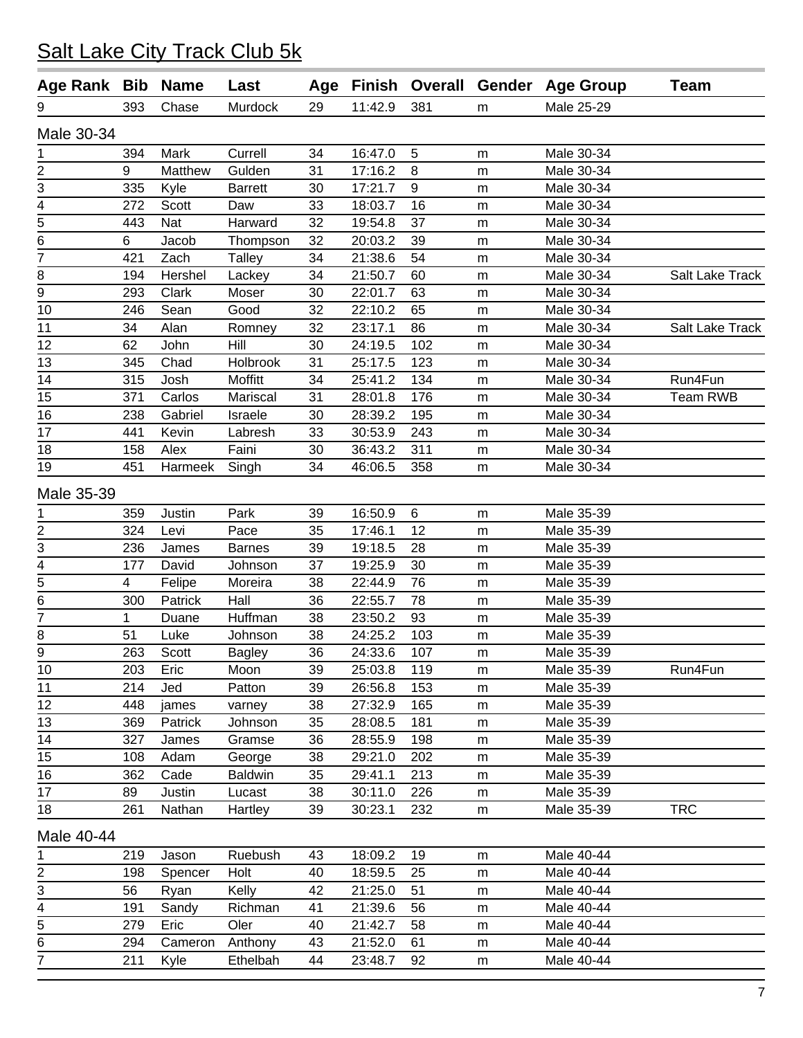| Age Rank Bib            |     | <b>Name</b> | Last           |    |         |                |           | Age Finish Overall Gender Age Group | <b>Team</b>     |
|-------------------------|-----|-------------|----------------|----|---------|----------------|-----------|-------------------------------------|-----------------|
| 9                       | 393 | Chase       | Murdock        | 29 | 11:42.9 | 381            | m         | Male 25-29                          |                 |
| Male 30-34              |     |             |                |    |         |                |           |                                     |                 |
| 1                       | 394 | Mark        | Currell        | 34 | 16:47.0 | $\overline{5}$ | m         | Male 30-34                          |                 |
| $\overline{\mathbf{c}}$ | 9   | Matthew     | Gulden         | 31 | 17:16.2 | 8              | m         | Male 30-34                          |                 |
| 3                       | 335 | Kyle        | <b>Barrett</b> | 30 | 17:21.7 | 9              | ${\sf m}$ | Male 30-34                          |                 |
| $\frac{4}{5}$           | 272 | Scott       | Daw            | 33 | 18:03.7 | 16             | ${\sf m}$ | Male 30-34                          |                 |
|                         | 443 | Nat         | Harward        | 32 | 19:54.8 | 37             | ${\sf m}$ | Male 30-34                          |                 |
| 6                       | 6   | Jacob       | Thompson       | 32 | 20:03.2 | 39             | m         | Male 30-34                          |                 |
| 7                       | 421 | Zach        | <b>Talley</b>  | 34 | 21:38.6 | 54             | m         | Male 30-34                          |                 |
| 8                       | 194 | Hershel     | Lackey         | 34 | 21:50.7 | 60             | m         | Male 30-34                          | Salt Lake Track |
| 9                       | 293 | Clark       | Moser          | 30 | 22:01.7 | 63             | m         | Male 30-34                          |                 |
| 10                      | 246 | Sean        | Good           | 32 | 22:10.2 | 65             | m         | Male 30-34                          |                 |
| 11                      | 34  | Alan        | Romney         | 32 | 23:17.1 | 86             | m         | Male 30-34                          | Salt Lake Track |
| 12                      | 62  | John        | Hill           | 30 | 24:19.5 | 102            | m         | Male 30-34                          |                 |
| 13                      | 345 | Chad        | Holbrook       | 31 | 25:17.5 | 123            | ${\sf m}$ | Male 30-34                          |                 |
| 14                      | 315 | Josh        | Moffitt        | 34 | 25:41.2 | 134            | m         | Male 30-34                          | Run4Fun         |
| 15                      | 371 | Carlos      | Mariscal       | 31 | 28:01.8 | 176            | ${\sf m}$ | Male 30-34                          | <b>Team RWB</b> |
| 16                      | 238 | Gabriel     | Israele        | 30 | 28:39.2 | 195            | m         | Male 30-34                          |                 |
| 17                      | 441 | Kevin       | Labresh        | 33 | 30:53.9 | 243            | m         | Male 30-34                          |                 |
| 18                      | 158 | Alex        | Faini          | 30 | 36:43.2 | 311            | m         | Male 30-34                          |                 |
| 19                      | 451 | Harmeek     | Singh          | 34 | 46:06.5 | 358            | m         | Male 30-34                          |                 |
| Male 35-39              |     |             |                |    |         |                |           |                                     |                 |
| 1                       | 359 | Justin      | Park           | 39 | 16:50.9 | 6              | m         | Male 35-39                          |                 |
| $\overline{2}$          | 324 | Levi        | Pace           | 35 | 17:46.1 | 12             | m         | Male 35-39                          |                 |
| 3                       | 236 | James       | <b>Barnes</b>  | 39 | 19:18.5 | 28             | m         | Male 35-39                          |                 |
| 4                       | 177 | David       | Johnson        | 37 | 19:25.9 | 30             | m         | Male 35-39                          |                 |
| $\overline{5}$          | 4   | Felipe      | Moreira        | 38 | 22:44.9 | 76             | ${\sf m}$ | Male 35-39                          |                 |
| 6                       | 300 | Patrick     | Hall           | 36 | 22:55.7 | 78             | m         | Male 35-39                          |                 |
| 7                       | 1   | Duane       | Huffman        | 38 | 23:50.2 | 93             | ${\sf m}$ | Male 35-39                          |                 |
| 8                       | 51  | Luke        | Johnson        | 38 | 24:25.2 | 103            | m         | Male 35-39                          |                 |
| 9                       | 263 | Scott       | <b>Bagley</b>  | 36 | 24:33.6 | 107            | m         | Male 35-39                          |                 |
| 10                      | 203 | Eric        | Moon           | 39 | 25:03.8 | 119            | m         | Male 35-39                          | Run4Fun         |
| 11                      | 214 | Jed         | Patton         | 39 | 26:56.8 | 153            | m         | Male 35-39                          |                 |
| 12                      | 448 | james       | varney         | 38 | 27:32.9 | 165            | m         | Male 35-39                          |                 |
| 13                      | 369 | Patrick     | Johnson        | 35 | 28:08.5 | 181            | m         | Male 35-39                          |                 |
| 14                      | 327 | James       | Gramse         | 36 | 28:55.9 | 198            | m         | Male 35-39                          |                 |
| 15                      | 108 | Adam        | George         | 38 | 29:21.0 | 202            | m         | Male 35-39                          |                 |
| 16                      | 362 | Cade        | <b>Baldwin</b> | 35 | 29:41.1 | 213            | m         | Male 35-39                          |                 |
| 17                      | 89  | Justin      | Lucast         | 38 | 30:11.0 | 226            | m         | Male 35-39                          |                 |
| 18                      | 261 | Nathan      | Hartley        | 39 | 30:23.1 | 232            | m         | Male 35-39                          | <b>TRC</b>      |
| Male 40-44              |     |             |                |    |         |                |           |                                     |                 |
| 1                       | 219 | Jason       | Ruebush        | 43 | 18:09.2 | 19             | m         | Male 40-44                          |                 |
| 2                       | 198 | Spencer     | Holt           | 40 | 18:59.5 | 25             | ${\sf m}$ | Male 40-44                          |                 |
| 3                       | 56  | Ryan        | Kelly          | 42 | 21:25.0 | 51             | m         | Male 40-44                          |                 |
| $\frac{4}{1}$           | 191 | Sandy       | Richman        | 41 | 21:39.6 | 56             | m         | Male 40-44                          |                 |
| 5                       | 279 | Eric        | Oler           | 40 | 21:42.7 | 58             | m         | Male 40-44                          |                 |
| 6                       | 294 | Cameron     | Anthony        | 43 | 21:52.0 | 61             | m         | Male 40-44                          |                 |
| 7                       | 211 | Kyle        | Ethelbah       | 44 | 23:48.7 | 92             | ${\sf m}$ | Male 40-44                          |                 |
|                         |     |             |                |    |         |                |           |                                     |                 |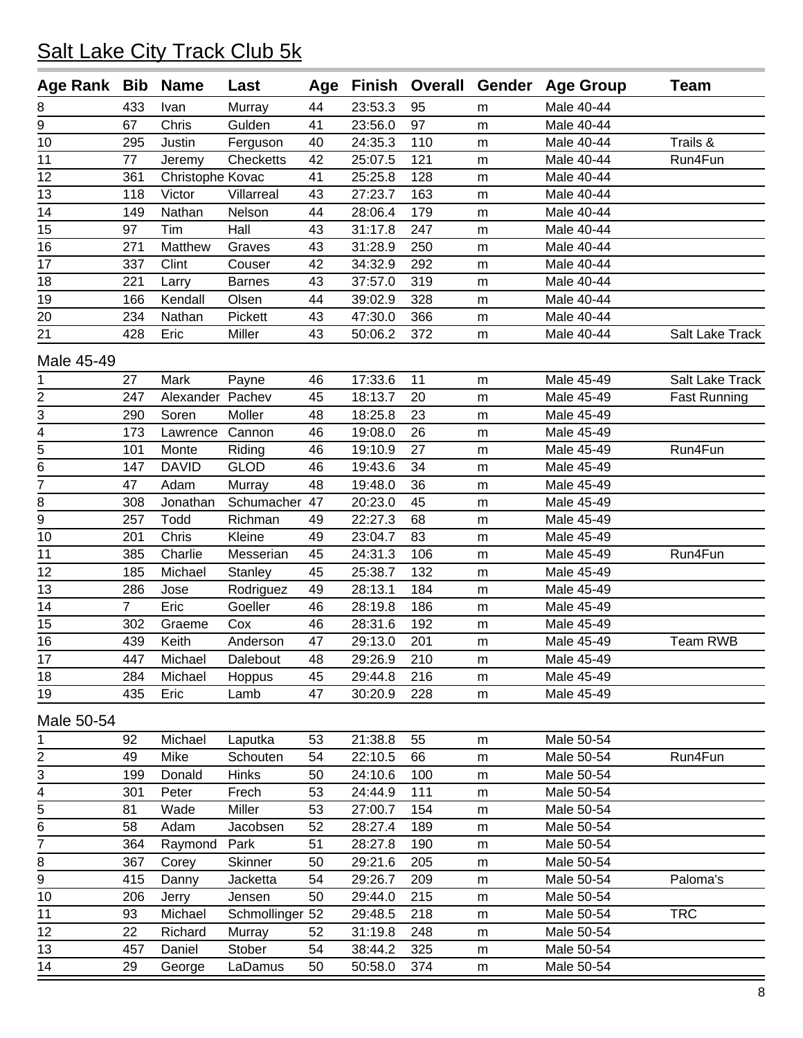| Age Rank Bib   |                | <b>Name</b>        | Last             | Age |         |     |           | Finish Overall Gender Age Group | <b>Team</b>         |
|----------------|----------------|--------------------|------------------|-----|---------|-----|-----------|---------------------------------|---------------------|
| 8              | 433            | Ivan               | Murray           | 44  | 23:53.3 | 95  | m         | Male 40-44                      |                     |
| 9              | 67             | Chris              | Gulden           | 41  | 23:56.0 | 97  | m         | Male 40-44                      |                     |
| 10             | 295            | Justin             | Ferguson         | 40  | 24:35.3 | 110 | m         | Male 40-44                      | Trails &            |
| 11             | 77             | Jeremy             | Checketts        | 42  | 25:07.5 | 121 | m         | Male 40-44                      | Run4Fun             |
| 12             | 361            | Christophe Kovac   |                  | 41  | 25:25.8 | 128 | ${\sf m}$ | Male 40-44                      |                     |
| 13             | 118            | Victor             | Villarreal       | 43  | 27:23.7 | 163 | m         | Male 40-44                      |                     |
| 14             | 149            | Nathan             | Nelson           | 44  | 28:06.4 | 179 | m         | Male 40-44                      |                     |
| 15             | 97             | Tim                | Hall             | 43  | 31:17.8 | 247 | m         | Male 40-44                      |                     |
| 16             | 271            | Matthew            | Graves           | 43  | 31:28.9 | 250 | m         | Male 40-44                      |                     |
| 17             | 337            | Clint              | Couser           | 42  | 34:32.9 | 292 | ${\sf m}$ | Male 40-44                      |                     |
| 18             | 221            | Larry              | <b>Barnes</b>    | 43  | 37:57.0 | 319 | m         | Male 40-44                      |                     |
| 19             | 166            | Kendall            | Olsen            | 44  | 39:02.9 | 328 | m         | Male 40-44                      |                     |
| 20             | 234            | Nathan             | Pickett          | 43  | 47:30.0 | 366 | ${\sf m}$ | Male 40-44                      |                     |
| 21             | 428            | Eric               | Miller           | 43  | 50:06.2 | 372 | m         | Male 40-44                      | Salt Lake Track     |
| Male 45-49     |                |                    |                  |     |         |     |           |                                 |                     |
|                | 27             | Mark               | Payne            | 46  | 17:33.6 | 11  | m         | Male 45-49                      | Salt Lake Track     |
| $\overline{2}$ | 247            | Alexander Pachev   |                  | 45  | 18:13.7 | 20  | ${\sf m}$ | Male 45-49                      | <b>Fast Running</b> |
| 3              | 290            | Soren              | Moller           | 48  | 18:25.8 | 23  | ${\sf m}$ | Male 45-49                      |                     |
| 4              | 173            | Lawrence           | Cannon           | 46  | 19:08.0 | 26  | m         | Male 45-49                      |                     |
| $\overline{5}$ | 101            | Monte              | Riding           | 46  | 19:10.9 | 27  | ${\sf m}$ | Male 45-49                      | Run4Fun             |
| 6              | 147            | <b>DAVID</b>       | <b>GLOD</b>      | 46  | 19:43.6 | 34  | m         | Male 45-49                      |                     |
| 7              | 47             | Adam               | Murray           | 48  | 19:48.0 | 36  | ${\sf m}$ | Male 45-49                      |                     |
| 8              | 308            | Jonathan           | Schumacher       | 47  | 20:23.0 | 45  | ${\sf m}$ | Male 45-49                      |                     |
| $\overline{9}$ | 257            | Todd               | Richman          | 49  | 22:27.3 | 68  | m         | Male 45-49                      |                     |
| 10             | 201            | Chris              | Kleine           | 49  | 23:04.7 | 83  | ${\sf m}$ | Male 45-49                      |                     |
| 11             | 385            | Charlie            | Messerian        | 45  | 24:31.3 | 106 | ${\sf m}$ | Male 45-49                      | Run4Fun             |
| 12             | 185            | Michael            | Stanley          | 45  | 25:38.7 | 132 | m         | Male 45-49                      |                     |
| 13             | 286            | Jose               | Rodriguez        | 49  | 28:13.1 | 184 | m         | Male 45-49                      |                     |
| 14             | $\overline{7}$ | Eric               | Goeller          | 46  | 28:19.8 | 186 | m         | Male 45-49                      |                     |
| 15             | 302            | Graeme             | Cox              | 46  | 28:31.6 | 192 | ${\sf m}$ | Male 45-49                      |                     |
| 16             | 439            | Keith              | Anderson         | 47  | 29:13.0 | 201 | m         | Male 45-49                      | <b>Team RWB</b>     |
| 17             | 447            | Michael            | Dalebout         | 48  | 29:26.9 | 210 | m         | Male 45-49                      |                     |
| 18             | 284            | Michael            | Hoppus           | 45  | 29:44.8 | 216 | ${\sf m}$ | Male 45-49                      |                     |
| 19             | 435            | Eric               | Lamb             | 47  | 30:20.9 | 228 | ${\sf m}$ | Male 45-49                      |                     |
| Male 50-54     |                |                    |                  |     |         |     |           |                                 |                     |
| 1              | 92             | Michael            | Laputka          | 53  | 21:38.8 | 55  | ${\sf m}$ | Male 50-54                      |                     |
|                | 49             | Mike               | Schouten         | 54  | 22:10.5 | 66  | ${\sf m}$ | Male 50-54                      | Run4Fun             |
| $\frac{2}{3}$  | 199            | Donald             | <b>Hinks</b>     | 50  | 24:10.6 | 100 | ${\sf m}$ | Male 50-54                      |                     |
| $\overline{4}$ | 301            | Peter              | Frech            | 53  | 24:44.9 | 111 | m         | Male 50-54                      |                     |
| $\overline{5}$ | 81             | Wade               | Miller           | 53  | 27:00.7 | 154 | ${\sf m}$ | Male 50-54                      |                     |
| 6              | 58             | Adam               | Jacobsen         | 52  | 28:27.4 | 189 | ${\sf m}$ | Male 50-54                      |                     |
| $\overline{7}$ | 364            | Raymond            | Park             | 51  | 28:27.8 | 190 | ${\sf m}$ | Male 50-54                      |                     |
|                | 367            | Corey              | Skinner          | 50  | 29:21.6 | 205 | m         | Male 50-54                      |                     |
| $rac{8}{9}$    | 415            | Danny              | Jacketta         | 54  | 29:26.7 | 209 |           | Male 50-54                      | Paloma's            |
| 10             | 206            |                    | Jensen           | 50  | 29:44.0 | 215 | m         | Male 50-54                      |                     |
| 11             | 93             | Jerry              | Schmollinger 52  |     | 29:48.5 | 218 | ${\sf m}$ | Male 50-54                      | <b>TRC</b>          |
| 12             | 22             | Michael<br>Richard |                  | 52  | 31:19.8 | 248 | ${\sf m}$ | Male 50-54                      |                     |
|                | 457            |                    | Murray<br>Stober | 54  | 38:44.2 | 325 | m         | Male 50-54                      |                     |
| 13<br>14       |                | Daniel             |                  |     |         |     | m         | Male 50-54                      |                     |
|                | 29             | George             | LaDamus          | 50  | 50:58.0 | 374 | m         |                                 |                     |